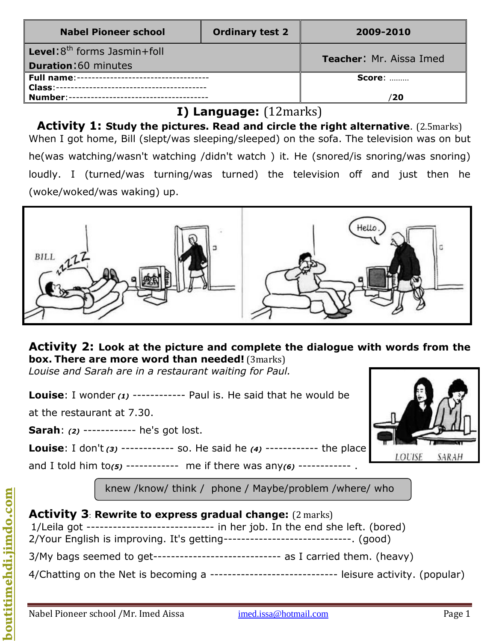| <b>Nabel Pioneer school</b>              | <b>Ordinary test 2</b> | 2009-2010                      |  |
|------------------------------------------|------------------------|--------------------------------|--|
| <b>Level:</b> $8^{th}$ forms Jasmin+foll |                        | <b>Teacher: Mr. Aissa Imed</b> |  |
| <b>Duration: 60 minutes</b>              |                        |                                |  |
|                                          |                        | <b>Score: </b>                 |  |
|                                          |                        |                                |  |
|                                          |                        | 20/                            |  |

# **I) Language:** (12marks)

**Activity 1: Study the pictures. Read and circle the right alternative**. (2.5marks) When I got home, Bill (slept/was sleeping/sleeped) on the sofa. The television was on but he(was watching/wasn't watching /didn't watch ) it. He (snored/is snoring/was snoring) loudly. I (turned/was turning/was turned) the television off and just then he (woke/woked/was waking) up.



## **Activity 2: Look at the picture and complete the dialogue with words from the box. There are more word than needed!** (3marks)

*Louise and Sarah are in a restaurant waiting for Paul.* 

**Louise:** I wonder (1) ------------ Paul is. He said that he would be

at the restaurant at 7.30.

**Sarah**: *(2)* ------------ he's got lost.

**Louise**: I don't *(3)* ------------ so. He said he *(4)* ------------ the place

and I told him to*(5)* ------------ me if there was any*(6)* ------------ .

knew /know/ think / phone / Maybe/problem /where/ who



# **Activity 3**: **Rewrite to express gradual change:** (2 marks) 1/Leila got ----------------------------- in her job. In the end she left. (bored) 2/Your English is improving. It's getting-----------------------------. (good)  $3/My$  bags seemed to get------------------------------ as I carried them. (heavy) 4/Chatting on the Net is becoming a ---------------------------------- leisure activity. (popular)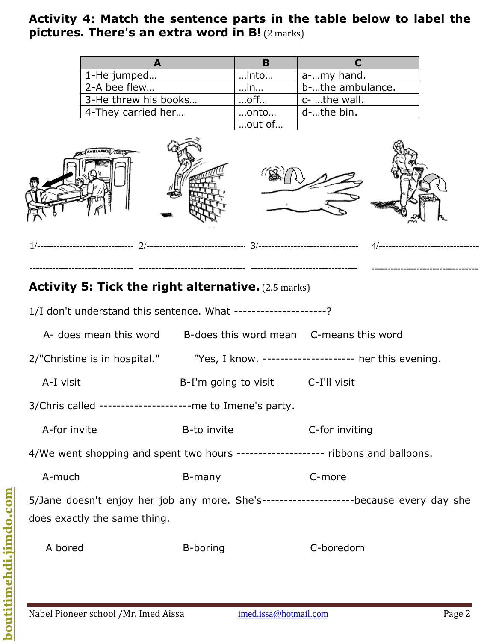### **Activity 4: Match the sentence parts in the table below to label the pictures. There's an extra word in B!** (2 marks)

| 1-He jumped          | …into…    | a-my hand.       |  |
|----------------------|-----------|------------------|--|
| 2-A bee flew         | $$ In     | b-the ambulance. |  |
| 3-He threw his books | $$ off $$ | c- the wall.     |  |
| 4-They carried her   | onto      | d-the bin.       |  |
|                      | out of    |                  |  |



---------------------------------

# **Activity 5: Tick the right alternative.** (2.5 marks)

--------------------------------

1/I don't understand this sentence. What ---------------------?

---------------------------------

| A- does mean this word b-does this word mean C-means this word                                                           |                                   |                                                       |  |  |
|--------------------------------------------------------------------------------------------------------------------------|-----------------------------------|-------------------------------------------------------|--|--|
| 2/"Christine is in hospital."                                                                                            |                                   | "Yes, I know. --------------------- her this evening. |  |  |
| A-I visit                                                                                                                | B-I'm going to visit C-I'll visit |                                                       |  |  |
| 3/Chris called ---------------------me to Imene's party.                                                                 |                                   |                                                       |  |  |
| A-for invite                                                                                                             | B-to invite                       | C-for inviting                                        |  |  |
| 4/We went shopping and spent two hours -------------------- ribbons and balloons.                                        |                                   |                                                       |  |  |
| A-much                                                                                                                   | B-many                            | C-more                                                |  |  |
| 5/Jane doesn't enjoy her job any more. She's-----------------------because every day she<br>does exactly the same thing. |                                   |                                                       |  |  |
|                                                                                                                          |                                   |                                                       |  |  |

---------------------------------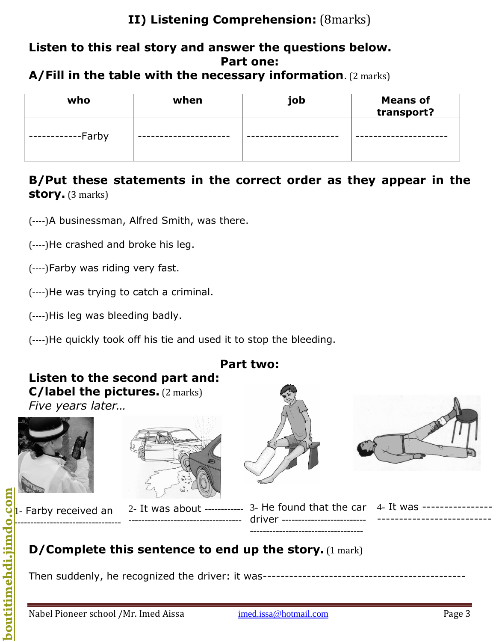# **II) Listening Comprehension:** (8marks)

### **Listen to this real story and answer the questions below. Part one:**

#### **A/Fill in the table with the necessary information**. (2 marks)

| who    | when | job | <b>Means of</b><br>transport? |
|--------|------|-----|-------------------------------|
| -Farby |      |     |                               |

## **B/Put these statements in the correct order as they appear in the story.** (3 marks)

(----)A businessman, Alfred Smith, was there.

(----)He crashed and broke his leg.

(----)Farby was riding very fast.

(----)He was trying to catch a criminal.

(----)His leg was bleeding badly.

(----)He quickly took off his tie and used it to stop the bleeding.



#### **D/Complete this sentence to end up the story.** (1 mark) -

Then suddenly, he recognized the driver: it was----------------------------------------------

**boutitimehdi.jimdo.com**

-----------------------------------